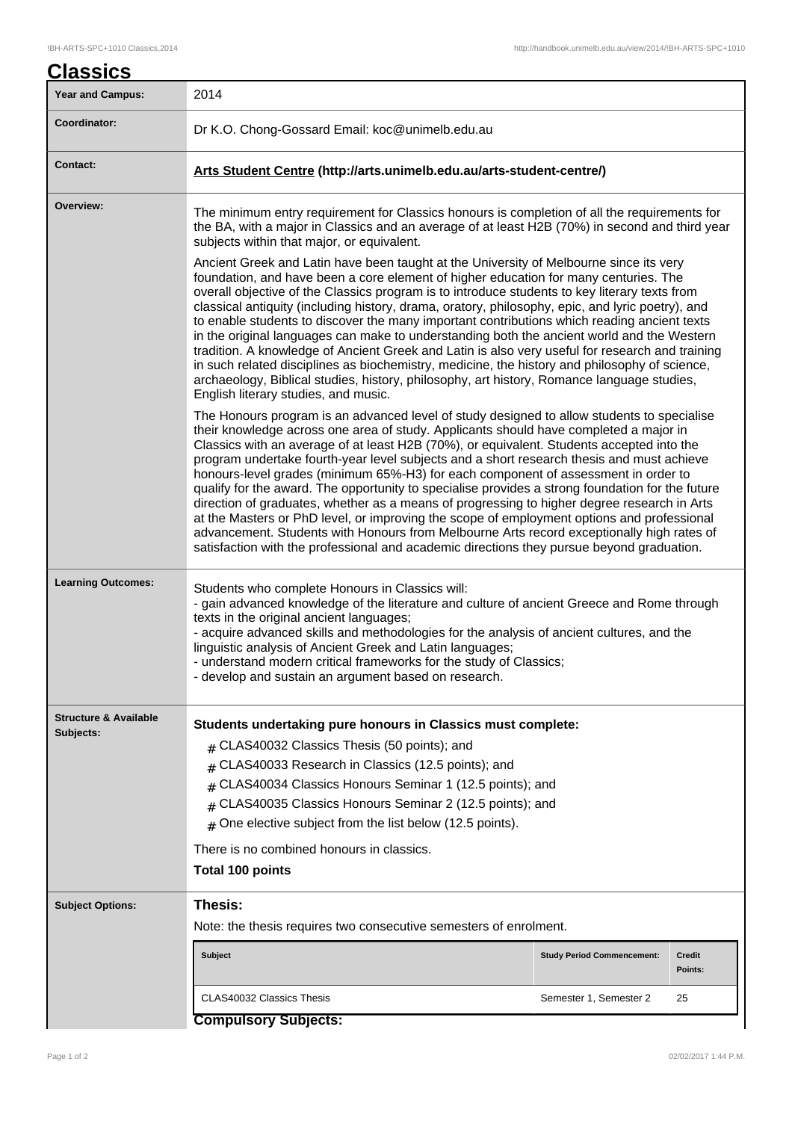| Classics                                      |                                                                                                                                                                                                                                                                                                                                                                                                                                                                                                                                                                                                                                                                                                                                                                                                                                                                                                                                                                |                                                                                                                                                                                                |                          |  |  |
|-----------------------------------------------|----------------------------------------------------------------------------------------------------------------------------------------------------------------------------------------------------------------------------------------------------------------------------------------------------------------------------------------------------------------------------------------------------------------------------------------------------------------------------------------------------------------------------------------------------------------------------------------------------------------------------------------------------------------------------------------------------------------------------------------------------------------------------------------------------------------------------------------------------------------------------------------------------------------------------------------------------------------|------------------------------------------------------------------------------------------------------------------------------------------------------------------------------------------------|--------------------------|--|--|
| <b>Year and Campus:</b>                       | 2014                                                                                                                                                                                                                                                                                                                                                                                                                                                                                                                                                                                                                                                                                                                                                                                                                                                                                                                                                           |                                                                                                                                                                                                |                          |  |  |
| Coordinator:                                  | Dr K.O. Chong-Gossard Email: koc@unimelb.edu.au                                                                                                                                                                                                                                                                                                                                                                                                                                                                                                                                                                                                                                                                                                                                                                                                                                                                                                                |                                                                                                                                                                                                |                          |  |  |
| <b>Contact:</b>                               | Arts Student Centre (http://arts.unimelb.edu.au/arts-student-centre/)                                                                                                                                                                                                                                                                                                                                                                                                                                                                                                                                                                                                                                                                                                                                                                                                                                                                                          |                                                                                                                                                                                                |                          |  |  |
| Overview:                                     | subjects within that major, or equivalent.                                                                                                                                                                                                                                                                                                                                                                                                                                                                                                                                                                                                                                                                                                                                                                                                                                                                                                                     | The minimum entry requirement for Classics honours is completion of all the requirements for<br>the BA, with a major in Classics and an average of at least H2B (70%) in second and third year |                          |  |  |
|                                               | Ancient Greek and Latin have been taught at the University of Melbourne since its very<br>foundation, and have been a core element of higher education for many centuries. The<br>overall objective of the Classics program is to introduce students to key literary texts from<br>classical antiquity (including history, drama, oratory, philosophy, epic, and lyric poetry), and<br>to enable students to discover the many important contributions which reading ancient texts<br>in the original languages can make to understanding both the ancient world and the Western<br>tradition. A knowledge of Ancient Greek and Latin is also very useful for research and training<br>in such related disciplines as biochemistry, medicine, the history and philosophy of science,<br>archaeology, Biblical studies, history, philosophy, art history, Romance language studies,<br>English literary studies, and music.                                     |                                                                                                                                                                                                |                          |  |  |
|                                               | The Honours program is an advanced level of study designed to allow students to specialise<br>their knowledge across one area of study. Applicants should have completed a major in<br>Classics with an average of at least H2B (70%), or equivalent. Students accepted into the<br>program undertake fourth-year level subjects and a short research thesis and must achieve<br>honours-level grades (minimum 65%-H3) for each component of assessment in order to<br>qualify for the award. The opportunity to specialise provides a strong foundation for the future<br>direction of graduates, whether as a means of progressing to higher degree research in Arts<br>at the Masters or PhD level, or improving the scope of employment options and professional<br>advancement. Students with Honours from Melbourne Arts record exceptionally high rates of<br>satisfaction with the professional and academic directions they pursue beyond graduation. |                                                                                                                                                                                                |                          |  |  |
| <b>Learning Outcomes:</b>                     | Students who complete Honours in Classics will:<br>- gain advanced knowledge of the literature and culture of ancient Greece and Rome through<br>texts in the original ancient languages;<br>- acquire advanced skills and methodologies for the analysis of ancient cultures, and the<br>linguistic analysis of Ancient Greek and Latin languages;<br>- understand modern critical frameworks for the study of Classics;<br>- develop and sustain an argument based on research.                                                                                                                                                                                                                                                                                                                                                                                                                                                                              |                                                                                                                                                                                                |                          |  |  |
| <b>Structure &amp; Available</b><br>Subjects: | Students undertaking pure honours in Classics must complete:<br>$#$ CLAS40032 Classics Thesis (50 points); and<br>$#$ CLAS40033 Research in Classics (12.5 points); and<br>CLAS40034 Classics Honours Seminar 1 (12.5 points); and<br>$\pm$<br>$#$ CLAS40035 Classics Honours Seminar 2 (12.5 points); and<br>$#$ One elective subject from the list below (12.5 points).<br>There is no combined honours in classics.                                                                                                                                                                                                                                                                                                                                                                                                                                                                                                                                         |                                                                                                                                                                                                |                          |  |  |
|                                               | <b>Total 100 points</b>                                                                                                                                                                                                                                                                                                                                                                                                                                                                                                                                                                                                                                                                                                                                                                                                                                                                                                                                        |                                                                                                                                                                                                |                          |  |  |
| <b>Subject Options:</b>                       | Thesis:<br>Note: the thesis requires two consecutive semesters of enrolment.                                                                                                                                                                                                                                                                                                                                                                                                                                                                                                                                                                                                                                                                                                                                                                                                                                                                                   |                                                                                                                                                                                                |                          |  |  |
|                                               | <b>Subject</b>                                                                                                                                                                                                                                                                                                                                                                                                                                                                                                                                                                                                                                                                                                                                                                                                                                                                                                                                                 | <b>Study Period Commencement:</b>                                                                                                                                                              | <b>Credit</b><br>Points: |  |  |
|                                               | CLAS40032 Classics Thesis                                                                                                                                                                                                                                                                                                                                                                                                                                                                                                                                                                                                                                                                                                                                                                                                                                                                                                                                      | Semester 1, Semester 2                                                                                                                                                                         | 25                       |  |  |

## **Compulsory Subjects:**

 $\overline{\phantom{a}}$